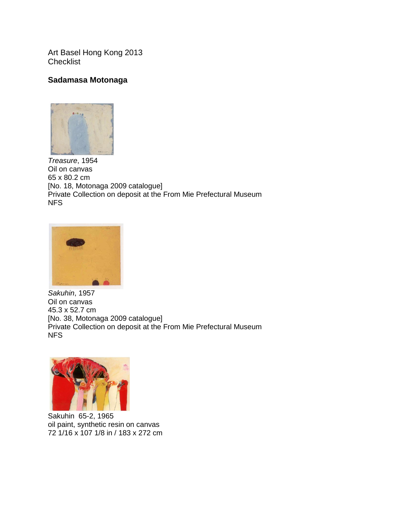Art Basel Hong Kong 2013 **Checklist** 

## **Sadamasa Motonaga**



*Treasure*, 1954 Oil on canvas 65 x 80.2 cm [No. 18, Motonaga 2009 catalogue] Private Collection on deposit at the From Mie Prefectural Museum NFS



*Sakuhin*, 1957 Oil on canvas 45.3 x 52.7 cm [No. 38, Motonaga 2009 catalogue] Private Collection on deposit at the From Mie Prefectural Museum NFS



Sakuhin 65-2, 1965 oil paint, synthetic resin on canvas 72 1/16 x 107 1/8 in / 183 x 272 cm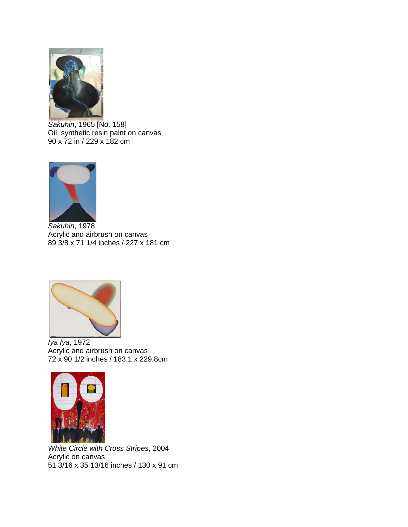

*Sakuhin*, 1965 [No. 158] Oil, synthetic resin paint on canvas 90 x 72 in / 229 x 182 cm



*Sakuhin*, 1978 Acrylic and airbrush on canvas 89 3/8 x 71 1/4 inches / 227 x 181 cm



*Iya Iya*, 1972 Acrylic and airbrush on canvas 72 x 90 1/2 inches / 183.1 x 229.8cm



*White Circle with Cross Stripes*, 2004 Acrylic on canvas 51 3/16 x 35 13/16 inches / 130 x 91 cm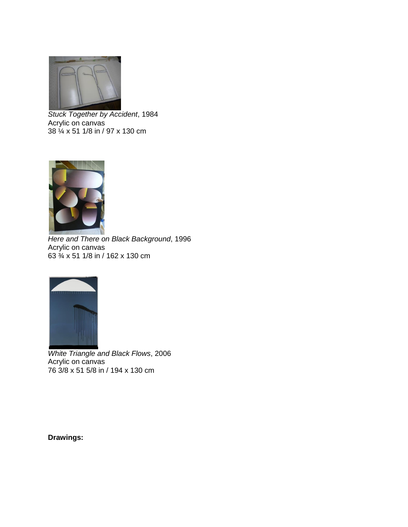

*Stuck Together by Accident*, 1984 Acrylic on canvas 38 ¼ x 51 1/8 in / 97 x 130 cm



*Here and There on Black Background*, 1996 Acrylic on canvas 63 ¾ x 51 1/8 in / 162 x 130 cm



*White Triangle and Black Flows*, 2006 Acrylic on canvas 76 3/8 x 51 5/8 in / 194 x 130 cm

**Drawings:**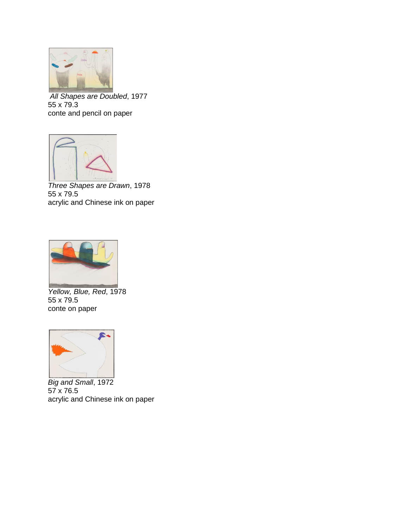

*All Shapes are Doubled*, 1977 55 x 79.3 conte and pencil on paper



*Three Shapes are Drawn*, 1978 55 x 79.5 acrylic and Chinese ink on paper



*Yellow, Blue, Red*, 1978 55 x 79.5 conte on paper



*Big and Small*, 1972 57 x 76.5 acrylic and Chinese ink on paper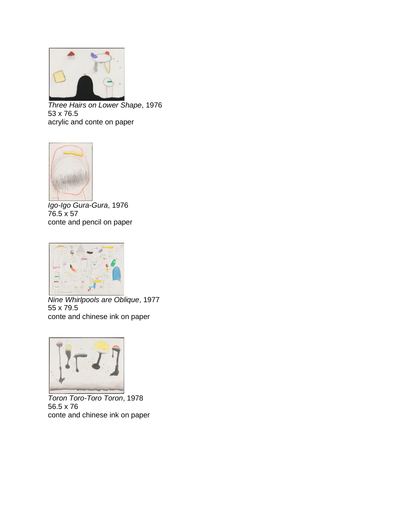

*Three Hairs on Lower Shape*, 1976 53 x 76.5 acrylic and conte on paper



*Igo-Igo Gura-Gura*, 1976 76.5 x 57 conte and pencil on paper



*Nine Whirlpools are Oblique*, 1977 55 x 79.5 conte and chinese ink on paper



*Toron Toro-Toro Toron*, 1978 56.5 x 76 conte and chinese ink on paper